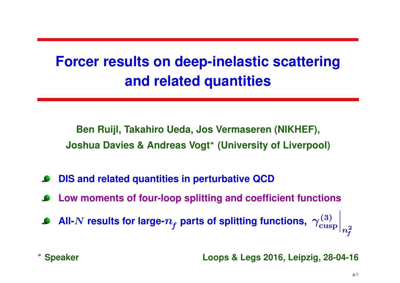## **Forcer results on deep-inelastic scatteringand related quantities**

**Ben Ruijl, Takahiro Ueda, Jos Vermaseren (NIKHEF), Joshua Davies & Andreas Vogt**∗ **(University of Liverpool)**

- **DIS and related quantities in perturbative QCD**
- **Low moments of four-loop splitting and coefficient functions**
- All- $N$  results for large- $n_f$  parts of splitting functions,  $\left. \gamma^{(3)}_\mathrm{cusp} \right|$   $\sqrt{n^2}$ f

\* Speaker

**Speaker Loops & Legs 2016, Leipzig, 28-04-16**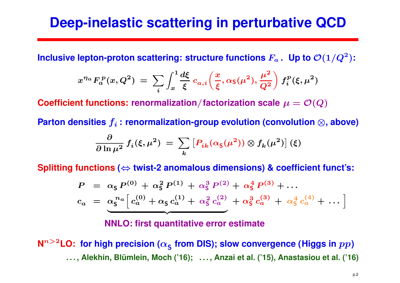## **Deep-inelastic scattering in perturbative QCD**

**Inclusive lepton-proton scattering: structure functions**  $F_a$  **. Up to**  $\mathcal{O}(1/Q^2$ )**:**

$$
x^{\eta_a} F_a^{\ p}(x,Q^2) \ = \ \sum_i \int_x^1 \frac{d\xi}{\xi} \ c_{a,i}\bigg(\frac{x}{\xi},\alpha_{\mathsf{S}}(\mu^2),\frac{\mu^2}{Q^2}\bigg) \ f_i^{\ p}(\xi,\mu^2)
$$

 $\boldsymbol{\mathsf{Coefficient}}$   $\boldsymbol{\mathsf{function}}$  :  $\boldsymbol{\mathsf{renormalization}}/\boldsymbol{\mathsf{factorization}}$  scale  $\mu=\mathcal{O}(Q)$ 

 ${\sf Parton~ densities~}f_i$   $:$   ${\sf renormalization-group~evolution~(convolution~\otimes, {\sf above})}$ 

$$
\frac{\partial}{\partial \ln \mu^2} f_i(\xi, \mu^2) = \sum_k \left[ P_{ik}(\alpha_{\mathsf{S}}(\mu^2)) \otimes f_k(\mu^2) \right](\xi)
$$

**Splitting functions(**⇔ **twist-2 anomalous dimensions) & coefficient funct's:**

$$
P = \alpha_{\mathsf{S}} P^{(0)} + \alpha_{\mathsf{S}}^2 P^{(1)} + \alpha_{\mathsf{S}}^3 P^{(2)} + \alpha_{\mathsf{S}}^4 P^{(3)} + \dots
$$
  

$$
c_a = \alpha_{\mathsf{S}}^{n_a} \Big[ c_a^{(0)} + \alpha_{\mathsf{S}} c_a^{(1)} + \alpha_{\mathsf{S}}^2 c_a^{(2)} + \alpha_{\mathsf{S}}^3 c_a^{(3)} + \alpha_{\mathsf{S}}^4 c_a^{(4)} + \dots \Big]
$$

**NNLO: first quantitative error estimate**

 $\mathsf{N}^{n>2}\mathsf{LO}\text{:}~$  for high precision ( $\alpha_\mathsf{S}$ . . . , Alekhin, Blümlein, Moch ('16); . . . , Anzai et al. ('15), Anastasiou et al. ('16) **from DIS); slow convergence (Higgs in** pp **)**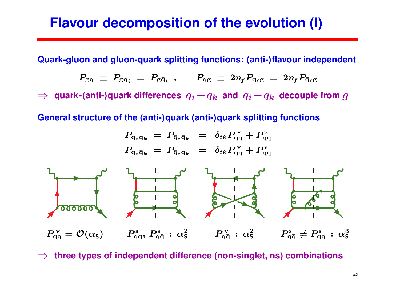## **Flavour decomposition of the evolution (I)**

**Quark-gluon and gluon-quark splitting functions: (anti-)flavour independent**

$$
P_{\rm gq} ~\equiv~ P_{\rm gq}_i^{}~=~P_{\rm g\bar{q}_i}~~, \qquad P_{\rm qg} ~\equiv~ 2n_{\!f}P_{\rm q_ig}~=~2n_{\!f}P_{\bar{\rm q}_i{\rm g}}
$$

 $\Rightarrow$  quark-(anti-)quark differences  $q_i-q_k$  and  $q_i-\bar{q}_k$  decouple from  $g$ 

**General structure of the (anti-)quark (anti-)quark splitting functions**

$$
P_{\mathbf{q}_i\mathbf{q}_k} = P_{\bar{\mathbf{q}}_i\bar{\mathbf{q}}_k} = \delta_{ik} P_{\mathbf{q}\mathbf{q}}^{\vee} + P_{\mathbf{q}\mathbf{q}}^{\mathbf{s}}
$$
\n
$$
P_{\mathbf{q}_i\bar{\mathbf{q}}_k} = P_{\bar{\mathbf{q}}_i\mathbf{q}_k} = \delta_{ik} P_{\mathbf{q}\bar{\mathbf{q}}}^{\vee} + P_{\mathbf{q}\bar{\mathbf{q}}}^{\mathbf{s}}
$$
\nof

\n
$$
P_{\mathbf{q}\mathbf{q}}^{\vee} = \mathcal{O}(\alpha_{\mathbf{s}}) \qquad P_{\mathbf{q}\mathbf{q}}^{\mathbf{s}}, P_{\mathbf{q}\bar{\mathbf{q}}}^{\mathbf{s}} : \alpha_{\mathbf{s}}^2 \qquad P_{\mathbf{q}\bar{\mathbf{q}}}^{\vee} : \alpha_{\mathbf{s}}^2 \qquad P_{\mathbf{q}\bar{\mathbf{q}}}^{\mathbf{s}} \neq P_{\mathbf{q}\mathbf{q}}^{\mathbf{s}} : \alpha_{\mathbf{s}}^3
$$

⇒ **three types of independent difference (non-singlet, ns) combinations**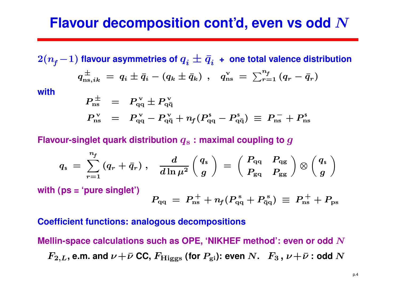## **Flavour decomposition cont'd, even vs odd**  $N$

 $2(n_f-1)$  flavour asymmetries of  $q_i\pm\bar{q}_i$  + one total valence distribution  $q_{\mathrm{ns},ik}^{\pm} ~=~ q_i \pm \bar{q}_i - (q_k \pm \bar{q}_i)$  $\pm$  $\frac{\pm}{\mathrm{ns},ik}\,=\,q_i\pm\bar{q}_i\, (q_k\pm\bar q_k)$  ,  $q_{\rm n}^{\rm v}$  $\frac{\mathrm{v}}{\mathrm{m}\mathrm{s}}\ =\ \sum_{r=1}^{n_{\!f}}\left(q_{r}-\bar{q}_{r}\right)$ **with** $P_{\rm{ne}}^{\,\pm}$  $P_{\rm ns}^{\rm \, \pm} \;\; = \;\; P_{\rm qc}^{\rm \, v}$  $q_\mathrm{q\,}^\mathrm{v} \pm P_\mathrm{q\bar{c}}^\mathrm{v}$  $\mathbf q\bar{\mathbf q}$ 

$$
P_{\rm ns}^{\rm v} = P_{\rm qq}^{\rm v} - P_{\rm q\bar{q}}^{\rm v} + n_f (P_{\rm qq}^{\rm s} - P_{\rm q\bar{q}}^{\rm s}) \equiv P_{\rm ns}^- + P_{\rm ns}^{\rm s}
$$

### Flavour-singlet quark distribution  $q_{\rm s}$  : maximal coupling to  $g$

$$
q_{\rm s} = \sum_{r=1}^{n_{\rm f}} (q_r + \bar{q}_r) \ , \quad \frac{d}{d\ln\mu^2} \left( \frac{q_{\rm s}}{g} \right) = \left( \begin{array}{cc} P_{\rm qq} & P_{\rm qg} \\ P_{\rm gq} & P_{\rm gg} \end{array} \right) \otimes \left( \frac{q_{\rm s}}{g} \right)
$$

**with (ps <sup>=</sup> 'pure singlet')**

$$
P_{\rm qq} \ =\ P_{\rm ns}^{\ +} + n_{\!f}(P_{\rm qq}^{\ {\rm s}} + P_{\rm \bar{q}q}^{\ {\rm s}}) \ \equiv\ P_{\rm ns}^{\ +} + P_{\rm ps}
$$

#### **Coefficient functions: analogous decompositions**

**Mellin-space calculations such as OPE, 'NIKHEF method': even or odd**N $F_{2,L}$ , e.m. and  $\nu$   $+$   $\bar{\nu}$  CC,  $F_{\rm Higgs}$  (for  $P_{\rm gi}$ ): even  $N$ .  $\;$   $\;F_3$  ,  $\nu$   $+$   $\bar{\nu}$  : odd  $N$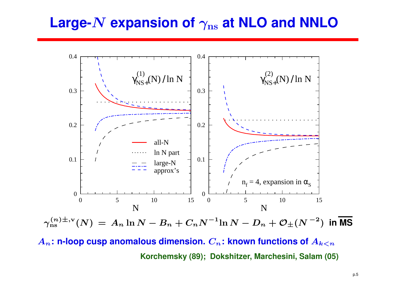# $\boldsymbol{\mathsf{Large\text{-}N}}$  expansion of  $\gamma_\text{ns}$  at NLO and NNLO



**Korchemsky (89); Dokshitzer, Marchesini, Salam (05)**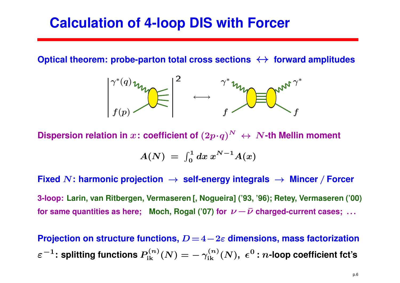## **Calculation of 4-loop DIS with Forcer**

**Optical theorem: probe-parton total cross sections**↔ **forward amplitudes**



Dispersion relation in  $x$ : coefficient of  $(2p\!\cdot\! q)^N \, \leftrightarrow \, N\!\!$  -th Mellin moment

$$
A(N) = \int_0^1 dx \, x^{N-1} A(x)
$$

**Fixed**<sup>N</sup>**: harmonic projection**→ **self-energy integrals** → **Mincer** / **Forcer** 3-loop: Larin, van Ritbergen, Vermaseren [, Nogueira] ('93, '96); Retey, Vermaseren ('00) for same quantities as here;  $\,$  Moch, Rogal ('07) for  $\, \nu$   $\! \bar{\nu}$  charged-current cases;  $\, \dots \,$ 

**Projection on structure functions,** D <sup>=</sup> <sup>4</sup> −2ε **dimensions, mass factorization** $\varepsilon^{-1}$ **: splitting functions**  $P_{\rm ik}^{(n)}(N) = -\,\gamma$  $\gamma$  $_{\rm ik}^{(n)}(N),\;\epsilon^{0}% (\Gamma_{n,k}^{(n)}(\Gamma_{n,k})\geq0)$ **:** <sup>n</sup>**-loop coefficient fct's**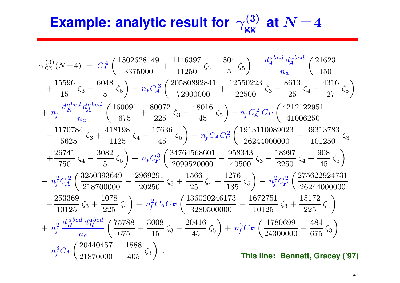# **Example: analytic result for**  $\gamma_{\rm gg}^{(3)}$  at  $N$  = 4

$$
\gamma_{gg}^{(3)}(N=4) = C_A^4 \left( \frac{1502628149}{3375000} + \frac{1146397}{11250} \zeta_3 - \frac{504}{5} \zeta_5 \right) + \frac{d_A^{abcd} d_A^{abcd}}{n_a} \left( \frac{21623}{150} + \frac{15596}{15} \zeta_3 - \frac{6048}{5} \zeta_5 \right) - n_f C_A^3 \left( \frac{20580892841}{72900000} + \frac{12550223}{22500} \zeta_3 - \frac{8613}{25} \zeta_4 - \frac{4316}{27} \zeta_5 \right)
$$
  
+ 
$$
n_f \frac{d_B^{abcd} d_A^{abcd}}{n_a} \left( \frac{160091}{675} + \frac{80072}{225} \zeta_3 - \frac{48016}{45} \zeta_5 \right) - n_f C_A^2 C_F \left( \frac{4212122951}{41006250} - \frac{1170784}{5625} \zeta_3 + \frac{418198}{1125} \zeta_4 - \frac{17636}{45} \zeta_5 \right) + n_f C_A C_F^2 \left( \frac{1913110089023}{26244000000} + \frac{39313783}{101250} \zeta_3 + \frac{26741}{750} \zeta_4 - \frac{3082}{5} \zeta_5 \right) + n_f C_F^3 \left( \frac{34764568601}{2099520000} - \frac{958343}{40500} \zeta_3 - \frac{18997}{2250} \zeta_4 + \frac{908}{45} \zeta_5 \right)
$$
  
- 
$$
n_f^2 C_A^2 \left( \frac{3250393649}{218700000} - \frac{2969291}{20250} \zeta_3 + \frac{1566}{25} \zeta_4 + \frac{1276}{135} \zeta_5 \right) - n_f^2 C_F^2 \left( \frac{27
$$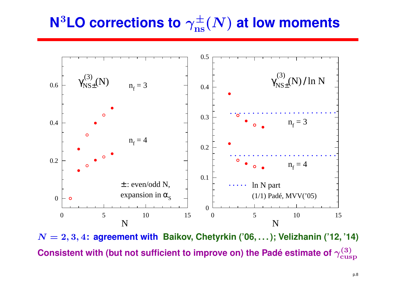## **N** $^3$ LO corrections to  $\gamma_{\rm ns}^{\pm}(N)$  at low moments



 $N = 2, 3, 4$ : agreement with Baikov, Chetyrkin ('06, ...); Velizhanin ('12, '14) Consistent with (but not sufficient to improve on) the Padé estimate of  $\gamma^{(3)}_\textrm{cusp}$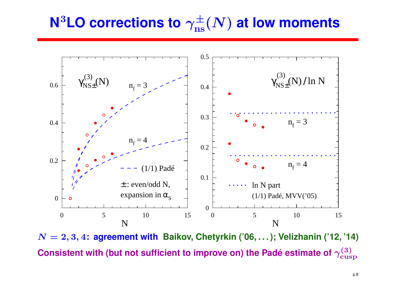## **N** $^3$ LO corrections to  $\gamma_{\rm ns}^{\pm}(N)$  at low moments



 $N = 2, 3, 4$ : agreement with Baikov, Chetyrkin ('06, ...); Velizhanin ('12, '14) Consistent with (but not sufficient to improve on) the Padé estimate of  $\gamma^{(3)}_\textrm{cusp}$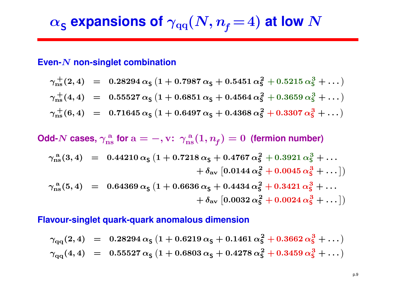$$
\alpha_{\mathsf{S}}
$$
 expansions of  $\gamma_{\text{qq}}(N,n_{\text{f}}\!=\!4)$  at low  $N$ 

## **Even-**N **non-singlet combination**

$$
\gamma_{\rm ns}^+(2,4) = 0.28294 \alpha_S (1 + 0.7987 \alpha_S + 0.5451 \alpha_S^2 + 0.5215 \alpha_S^3 + ...)
$$
  

$$
\gamma_{\rm ns}^+(4,4) = 0.55527 \alpha_S (1 + 0.6851 \alpha_S + 0.4564 \alpha_S^2 + 0.3659 \alpha_S^3 + ...)
$$
  

$$
\gamma_{\rm ns}^+(6,4) = 0.71645 \alpha_S (1 + 0.6497 \alpha_S + 0.4368 \alpha_S^2 + 0.3307 \alpha_S^3 + ...)
$$

 $\mathsf{Odd}\text{-}N$  cases,  $\gamma_\text{ns}^\text{a}$  for  $\mathrm{a}=-,\mathrm{v}\colon\,\gamma_\text{ns}^\text{a}(1,n_{\textit{f}})=0\,$  (fermion number)

$$
\gamma_{\rm ns}^{\rm a}(3,4) = 0.44210 \alpha_{\rm S} (1 + 0.7218 \alpha_{\rm S} + 0.4767 \alpha_{\rm S}^2 + 0.3921 \alpha_{\rm S}^3 + \dots \n+ \delta_{\rm av} [0.0144 \alpha_{\rm S}^2 + 0.0045 \alpha_{\rm S}^3 + \dots])
$$
\n
$$
\gamma_{\rm ns}^{\rm a}(5,4) = 0.64369 \alpha_{\rm S} (1 + 0.6636 \alpha_{\rm S} + 0.4434 \alpha_{\rm S}^2 + 0.3421 \alpha_{\rm S}^3 + \dots)
$$

 $\gamma^{\,\rm a}_{\rm ns}(5,4)\;\;=\;\; 0.64369\,\alpha^{\,\vphantom{\dagger}}_{\rm S}\,\big(1+0.6636\,\alpha^{\,\vphantom{\dagger}}_{\rm S}+0.4434\,\alpha^{\,2}_{\rm S}+0.3421\,\alpha^{\,3}_{\rm S}+\dots\big)$  $+ \delta_{\rm av} \left[ 0.0032 \, \alpha_{\sf S}^2 + 0.0024 \, \alpha_{\sf S}^3 + \dots \right] )$ 

#### **Flavour-singlet quark-quark anomalous dimension**

$$
\gamma_{qq}(2,4) = 0.28294 \alpha_{\mathsf{S}} (1 + 0.6219 \alpha_{\mathsf{S}} + 0.1461 \alpha_{\mathsf{S}}^2 + 0.3662 \alpha_{\mathsf{S}}^3 + \dots)
$$
  

$$
\gamma_{qq}(4,4) = 0.55527 \alpha_{\mathsf{S}} (1 + 0.6803 \alpha_{\mathsf{S}} + 0.4278 \alpha_{\mathsf{S}}^2 + 0.3459 \alpha_{\mathsf{S}}^3 + \dots)
$$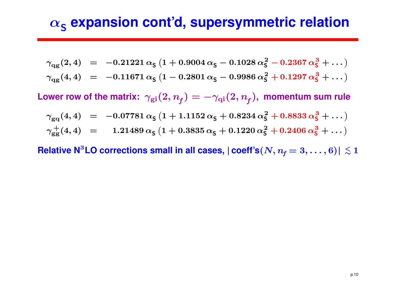## $\alpha_{\mathsf{S}}$  expansion cont'd, supersymmetric relation

$$
\gamma_{\text{qg}}(2,4) = -0.21221 \alpha_{\text{S}} (1 + 0.9004 \alpha_{\text{S}} - 0.1028 \alpha_{\text{S}}^2 - 0.2367 \alpha_{\text{S}}^3 + \dots)
$$
  

$$
\gamma_{\text{qg}}(4,4) = -0.11671 \alpha_{\text{S}} (1 - 0.2801 \alpha_{\text{S}} - 0.9986 \alpha_{\text{S}}^2 + 0.1297 \alpha_{\text{S}}^3 + \dots)
$$

 $\textsf{Lower row of the matrix:}~~ \gamma_{\rm gi}(2,n_{\!f})=-\gamma_{\rm qi}(2,n_{\!f}), \text{ momentum sum rule}$ 

$$
\gamma_{\rm gq}(4,4) = -0.07781 \alpha_{\rm S} (1 + 1.1152 \alpha_{\rm S} + 0.8234 \alpha_{\rm S}^2 + 0.8833 \alpha_{\rm S}^3 + \dots)
$$
  

$$
\gamma_{\rm gg}^+(4,4) = 1.21489 \alpha_{\rm S} (1 + 0.3835 \alpha_{\rm S} + 0.1220 \alpha_{\rm S}^2 + 0.2406 \alpha_{\rm S}^3 + \dots)
$$

**Relative <code>N<sup>3</sup>LO</code> corrections small in all cases,**  $|\textbf{coeff}'\textbf{s}(N, n_{\textit{f}}=3,\ldots,6)|\lesssim1$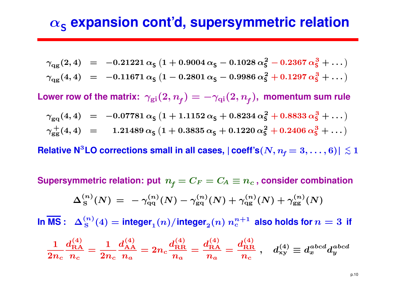## $\alpha_{\mathsf{S}}$  expansion cont'd, supersymmetric relation

$$
\gamma_{\text{qg}}(2,4) = -0.21221 \alpha_{\text{S}} (1 + 0.9004 \alpha_{\text{S}} - 0.1028 \alpha_{\text{S}}^2 - 0.2367 \alpha_{\text{S}}^3 + \dots)
$$
  

$$
\gamma_{\text{qg}}(4,4) = -0.11671 \alpha_{\text{S}} (1 - 0.2801 \alpha_{\text{S}} - 0.9986 \alpha_{\text{S}}^2 + 0.1297 \alpha_{\text{S}}^3 + \dots)
$$

 $\textsf{Lower row of the matrix:}~~ \gamma_{\rm gi}(2,n_{\!f})=-\gamma_{\rm qi}(2,n_{\!f}), \text{ momentum sum rule}$ 

$$
\gamma_{\rm gq}(4,4) = -0.07781 \alpha_{\rm S} (1 + 1.1152 \alpha_{\rm S} + 0.8234 \alpha_{\rm S}^2 + 0.8833 \alpha_{\rm S}^3 + \dots)
$$
  

$$
\gamma_{\rm gg}^+(4,4) = 1.21489 \alpha_{\rm S} (1 + 0.3835 \alpha_{\rm S} + 0.1220 \alpha_{\rm S}^2 + 0.2406 \alpha_{\rm S}^3 + \dots)
$$

**Relative <code>N<sup>3</sup>LO</code> corrections small in all cases,**  $|\textbf{coeff}'\textbf{s}(N, n_{\textit{f}}=3,\ldots,6)|\lesssim1$ 

 $\textbf{Supersymmetric}$   $\textbf{relation:}$   $\textbf{put}$   $\textit{n_f} = C_F = C_A \equiv \textit{n_c}$  ,  $\textbf{consider combination}$ 

$$
\Delta_{\rm S}^{(n)}(N) \, = \, - \, \gamma_{\rm qq}^{(n)}(N) - \gamma_{\rm gq}^{(n)}(N) + \gamma_{\rm qg}^{(n)}(N) + \gamma_{\rm gg}^{(n)}(N)
$$

 $\textsf{Im}\ \overline{\textsf{MS}}: \ \ \Delta_{\mathrm{S}}^{(n)}(4)=\textsf{integer}_1(n)/\textsf{integer}_2(n) \ n_c^{n+1}$  also holds for  $n=3$  if

$$
\frac{1}{2n_c}\frac{d_{\rm RA}^{(4)}}{n_c}=\frac{1}{2n_c}\frac{d_{\rm AA}^{(4)}}{n_a}=2n_c\frac{d_{\rm RR}^{(4)}}{n_a}=\frac{d_{\rm RA}^{(4)}}{n_a}=\frac{d_{\rm RR}^{(4)}}{n_c}\ ,\quad d_{\rm xy}^{(4)}\equiv d_x^{abcd}d_y^{abcd}
$$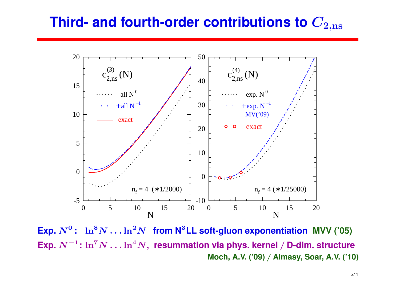#### **Third- and fourth-order contributions to**C $\mathbf{2}, \mathbf{n}\mathbf{s}$



 $\mathsf{Exp}.\ N^0\colon\ \ln^8\!N\ldots\ln^2\!N$  from  $\mathsf{N}^3\mathsf{LL}$  soft-gluon expone Exp.  $N^{-1} \colon \ln^7 N \dots$  !  $\frac{1}{2}$ :  $\ln^8 N \dots \ln^2$  N **from <sup>N</sup>** <sup>3</sup>**LL soft-gluon exponentiation MVV ('05)**  $\frac{1}{n}$ :  $\ln^7 N \dots \ln^4$  <sup>N</sup>**, resummation via phys. kernel** / **D-dim. structure Moch, A.V. ('09)**/ **Almasy, Soar, A.V. ('10)**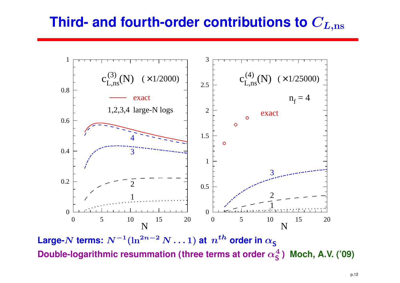## Third- and fourth-order contributions to  $C_{L,\mathrm{ns}}$



 **Large-**N **terms:** N−<sup>1</sup>(ln2<code>Double-logarithmic resummation (three terms at order  $\alpha_{\mathsf{S}}^4$ </code>  $\boldsymbol{n}$  $\overline{\phantom{a}}^{-2}$   $N\ldots1)$  at  $\overline{n}^{th}$  order in  $\alpha_{\mathsf{S}}$ S**) Moch, A.V. ('09)**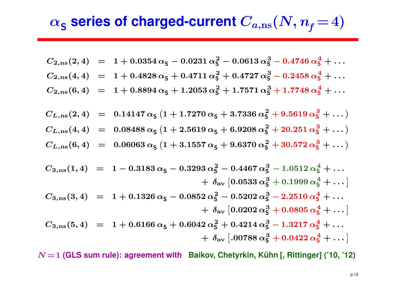$$
\alpha_{\text{S}}\text{ series of charged-current }C_{a,\text{ns}}(N,n_\text{f}\!=\!4)
$$

$$
C_{2,\text{ns}}(2,4) = 1 + 0.0354 \alpha_{\text{S}} - 0.0231 \alpha_{\text{S}}^2 - 0.0613 \alpha_{\text{S}}^3 - 0.4746 \alpha_{\text{S}}^4 + \dots
$$
  
\n
$$
C_{2,\text{ns}}(4,4) = 1 + 0.4828 \alpha_{\text{S}} + 0.4711 \alpha_{\text{S}}^2 + 0.4727 \alpha_{\text{S}}^3 - 0.2458 \alpha_{\text{S}}^4 + \dots
$$
  
\n
$$
C_{2,\text{ns}}(6,4) = 1 + 0.8894 \alpha_{\text{S}} + 1.2053 \alpha_{\text{S}}^2 + 1.7571 \alpha_{\text{S}}^3 + 1.7748 \alpha_{\text{S}}^4 + \dots
$$

$$
C_{L,ns}(2,4) = 0.14147 \alpha_{\mathsf{S}} (1 + 1.7270 \alpha_{\mathsf{S}} + 3.7336 \alpha_{\mathsf{S}}^2 + 9.5619 \alpha_{\mathsf{S}}^3 + \dots)
$$
  
\n
$$
C_{L,ns}(4,4) = 0.08488 \alpha_{\mathsf{S}} (1 + 2.5619 \alpha_{\mathsf{S}} + 6.9208 \alpha_{\mathsf{S}}^2 + 20.251 \alpha_{\mathsf{S}}^3 + \dots)
$$
  
\n
$$
C_{L,ns}(6,4) = 0.06063 \alpha_{\mathsf{S}} (1 + 3.1557 \alpha_{\mathsf{S}} + 9.6370 \alpha_{\mathsf{S}}^2 + 30.572 \alpha_{\mathsf{S}}^3 + \dots)
$$

$$
C_{3,\text{ns}}(1,4) = 1 - 0.3183 \alpha_{\text{S}} - 0.3293 \alpha_{\text{S}}^2 - 0.4467 \alpha_{\text{S}}^3 - 1.0512 \alpha_{\text{S}}^4 + \dots + \delta_{\text{av}} [0.0533 \alpha_{\text{S}}^3 + 0.1999 \alpha_{\text{S}}^4 + \dots] C_{3,\text{ns}}(3,4) = 1 + 0.1326 \alpha_{\text{S}} - 0.0852 \alpha_{\text{S}}^2 - 0.5202 \alpha_{\text{S}}^3 - 2.2510 \alpha_{\text{S}}^4 + \dots + \delta_{\text{av}} [0.0202 \alpha_{\text{S}}^3 + 0.0805 \alpha_{\text{S}}^4 + \dots] C_{3,\text{ns}}(5,4) = 1 + 0.6166 \alpha_{\text{S}} + 0.6042 \alpha_{\text{S}}^2 + 0.4214 \alpha_{\text{S}}^3 - 1.3217 \alpha_{\text{S}}^4 + \dots + \delta_{\text{av}} [0.0788 \alpha_{\text{S}}^3 + 0.0422 \alpha_{\text{S}}^4 + \dots]
$$

 $N$   $=$  1 (GLS sum rule): agreement with Baikov, Chetyrkin, Kühn [, Rittinger] ('10, '12)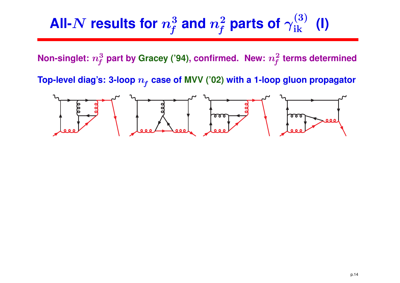## **All-**N $\boldsymbol{N}$  results for  $n_f^3$  and  $n_f^2$  parts of  $\gamma_{\rm ik}^{(3)}$  (I)

**Non-singlet:**  $n_f^3$  **part** by Gracey ('94), confirmed. New:  $n_f^2$  terms determined

**Top-level diag's: 3-loop** <sup>n</sup><sup>f</sup> **case of MVV ('02) with <sup>a</sup> 1-loop gluon propagator**

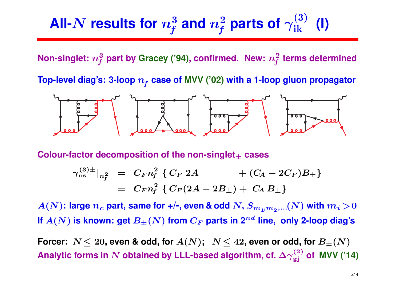## **All-**N $\boldsymbol{N}$  results for  $n_f^3$  and  $n_f^2$  parts of  $\gamma_{\rm ik}^{(3)}$  (I)

**Non-singlet:**  $n_f^3$  **part** by Gracey ('94), confirmed. New:  $n_f^2$  terms determined

**Top-level diag's: 3-loop** <sup>n</sup><sup>f</sup> **case of MVV ('02) with <sup>a</sup> 1-loop gluon propagator**



 ${\sf Color\text{-}factor\,\, decomposition\,\, of\,\, the\,\, non-singlet}_\pm\,\, cases}$ 

$$
\gamma_{\rm ns}^{(3)\pm}|_{n_f^2} = C_F n_f^2 \{ C_F 2A + (C_A - 2C_F)B_{\pm} \}
$$
  
=  $C_F n_f^2 \{ C_F (2A - 2B_{\pm}) + C_A B_{\pm} \}$ 

 $A(N)$ : large  $n_c$  part, same for +/-, even & odd  $N,$   $S_{m_1,m_2,...(N)}$  with  $m_i$   $>$  0 **If**  $A(N)$  is known: get  $B_{\pm}(N)$  from  $C_F$  parts in  $\mathbf{2}^{nd}$  line, only 2-loop diag's

 $\textbf{Forcer: } N \leq 20, \textbf{ even } \textbf{& odd, for } A(N); \hspace{0.5em} N \leq 42, \textbf{even or odd, for } B_{\pm}(N)$ **Analytic forms in**  $N$  obtained by LLL-based algorithm, cf.  $\Delta\gamma_{\rm gj}^{(2)}$  of MVV ('14)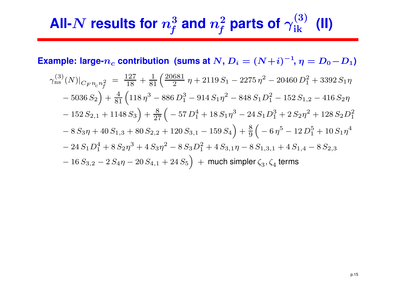## **All-**N $\boldsymbol{N}$  results for  $n_f^3$  and  $n_f^2$  parts of  $\gamma_{\rm ik}^{(3)}$  (II)

**Example:** large- $n_c$  contribution (sums at  $N$ ,  $D_i = (N+i)^{-1}$ ,  $\eta = D_0 - D_1$ )

$$
\gamma_{\rm ns}^{(3)}(N)|_{C_F n_c n_f^2} = \frac{127}{18} + \frac{1}{81} \left( \frac{20681}{2} \eta + 2119 S_1 - 2275 \eta^2 - 20460 D_1^2 + 3392 S_1 \eta - 5036 S_2 \right) + \frac{4}{81} \left( 118 \eta^3 - 886 D_1^3 - 914 S_1 \eta^2 - 848 S_1 D_1^2 - 152 S_{1,2} - 416 S_2 \eta - 152 S_{2,1} + 1148 S_3 \right) + \frac{8}{27} \left( -57 D_1^4 + 18 S_1 \eta^3 - 24 S_1 D_1^3 + 2 S_2 \eta^2 + 128 S_2 D_1^2 - 8 S_3 \eta + 40 S_{1,3} + 80 S_{2,2} + 120 S_{3,1} - 159 S_4 \right) + \frac{8}{9} \left( -6 \eta^5 - 12 D_1^5 + 10 S_1 \eta^4 - 24 S_1 D_1^4 + 8 S_2 \eta^3 + 4 S_3 \eta^2 - 8 S_3 D_1^2 + 4 S_{3,1} \eta - 8 S_{1,3,1} + 4 S_{1,4} - 8 S_{2,3} - 16 S_{3,2} - 2 S_4 \eta - 20 S_{4,1} + 24 S_5 \right) + \text{much simpler } \zeta_3, \zeta_4 \text{ terms}
$$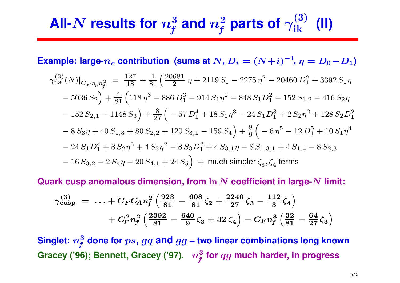## **All-**N $\boldsymbol{N}$  results for  $n_f^3$  and  $n_f^2$  parts of  $\gamma_{\rm ik}^{(3)}$  (II)

**Example:** large- $n_c$  contribution (sums at  $N$ ,  $D_i = (N+i)^{-1}$ ,  $\eta = D_0 - D_1$ )

$$
\gamma_{\rm ns}^{(3)}(N)|_{C_F n_c n_f^2} = \frac{127}{18} + \frac{1}{81} \left( \frac{20681}{2} \eta + 2119 S_1 - 2275 \eta^2 - 20460 D_1^2 + 3392 S_1 \eta - 5036 S_2 \right) + \frac{4}{81} \left( 118 \eta^3 - 886 D_1^3 - 914 S_1 \eta^2 - 848 S_1 D_1^2 - 152 S_{1,2} - 416 S_2 \eta - 152 S_{2,1} + 1148 S_3 \right) + \frac{8}{27} \left( -57 D_1^4 + 18 S_1 \eta^3 - 24 S_1 D_1^3 + 2 S_2 \eta^2 + 128 S_2 D_1^2 - 8 S_3 \eta + 40 S_{1,3} + 80 S_{2,2} + 120 S_{3,1} - 159 S_4 \right) + \frac{8}{9} \left( -6 \eta^5 - 12 D_1^5 + 10 S_1 \eta^4 - 24 S_1 D_1^4 + 8 S_2 \eta^3 + 4 S_3 \eta^2 - 8 S_3 D_1^2 + 4 S_{3,1} \eta - 8 S_{1,3,1} + 4 S_{1,4} - 8 S_{2,3} - 16 S_{3,2} - 2 S_4 \eta - 20 S_{4,1} + 24 S_5 \right) + \text{much simpler } \zeta_3, \zeta_4 \text{ terms}
$$

**Quark cusp anomalous dimension, from** ln <sup>N</sup> **coefficient in large-**<sup>N</sup> **limit:**

$$
\gamma_{\text{cusp}}^{(3)} = \ldots + C_F C_A n_f^2 \left( \frac{923}{81} - \frac{608}{81} \zeta_2 + \frac{2240}{27} \zeta_3 - \frac{112}{3} \zeta_4 \right) \n+ C_F^2 n_f^2 \left( \frac{2392}{81} - \frac{640}{9} \zeta_3 + 32 \zeta_4 \right) - C_F n_f^3 \left( \frac{32}{81} - \frac{64}{27} \zeta_3 \right)
$$

 $\boldsymbol{\mathrm{Singlet:}}\ n_f^3$  done for  $ps, gq$  and  $gg$  – two linear combinations long known **Gracey ('96); Bennett, Gracey ('97).** <sup>n</sup>3<sup>f</sup> **for** qg **much harder, in progress**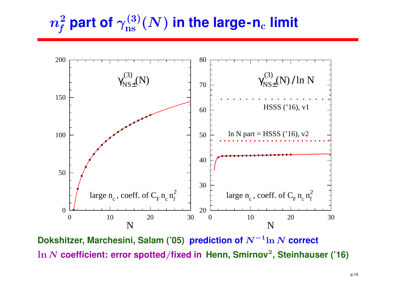$m_f^2$  part of  $\gamma^{(3)}_\text{ns}(N)$  in the large-n<sub>c</sub> limit



 **Dokshitzer, Marchesini, Salam ('05) prediction of** <sup>N</sup>−<sup>1</sup>ln <sup>N</sup> **correct** ln <sup>N</sup> **coefficient: error spotted**/**fixed in Henn, Smirnov**<sup>2</sup>**, Steinhauser ('16)**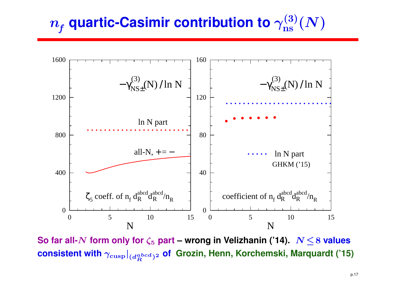$$
n_{\!f} \text{ quartic-Casimir contribution to } \gamma^{(3)}_\text{ns}(N)
$$



**So far all-**<sup>N</sup> **form only for** <sup>ζ</sup><sup>5</sup> **part – wrong in Velizhanin ('14).** <sup>N</sup> <sup>≤</sup><sup>8</sup> **values**  $\boldsymbol{\epsilon}$  consistent with  $\gamma_{\mathrm{cusp}}|_{(d_R^{abcd})^2}$  of  $\boldsymbol{\epsilon}$  Grozin, Henn, Korchemski, Marquardt ('15)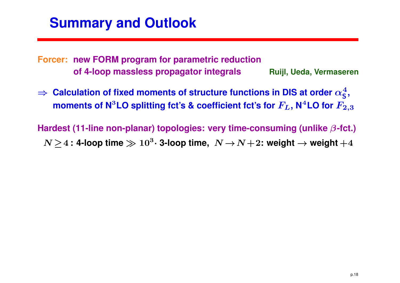## **Summary and Outlook**

**Forcer: new FORM program for parametric reductionof 4-loop massless propagator integralsRuijl, Ueda, Vermaseren**

⇒ Calculation of fixed moments of structure functions in DIS at order  $\alpha_{\mathsf{S}}^4$ <br>moments of N<sup>3</sup>LO splitting fot's & coefficient fot's for  $F_z$ , N<sup>4</sup>LO for  $F_z$ moments of N $^3$ LO splitting fct's & coefficient fct's for  $F_L$ , N $^4$ LO for  $F_{2,3}$ S**,**

**Hardest (11-line non-planar) topologies: very time-consuming (unlike**β**-fct.)** $N \!\geq\! 4$  **: 4-loop time**  $\gg 10^3$  $^3$   $\cdot$  **3-loop** time,  $N \rightarrow N+2$ : weight  $\rightarrow$  weight  $+4$